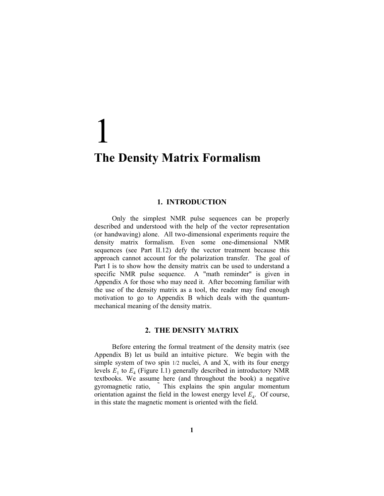## 1 **The Density Matrix Formalism**

## **1. INTRODUCTION**

Only the simplest NMR pulse sequences can be properly described and understood with the help of the vector representation (or handwaving) alone. All two-dimensional experiments require the density matrix formalism. Even some one-dimensional NMR sequences (see Part II.12) defy the vector treatment because this approach cannot account for the polarization transfer. The goal of Part I is to show how the density matrix can be used to understand a specific NMR pulse sequence. A "math reminder" is given in Appendix A for those who may need it. After becoming familiar with the use of the density matrix as a tool, the reader may find enough motivation to go to Appendix B which deals with the quantummechanical meaning of the density matrix.

## **2. THE DENSITY MATRIX**

Before entering the formal treatment of the density matrix (see Appendix B) let us build an intuitive picture. We begin with the simple system of two spin 1/2 nuclei, A and X, with its four energy levels  $E_1$  to  $E_4$  (Figure I.1) generally described in introductory NMR textbooks. We assume here (and throughout the book) a negative gyromagnetic ratio, This explains the spin angular momentum orientation against the field in the lowest energy level  $E<sub>4</sub>$ . Of course, in this state the magnetic moment is oriented with the field.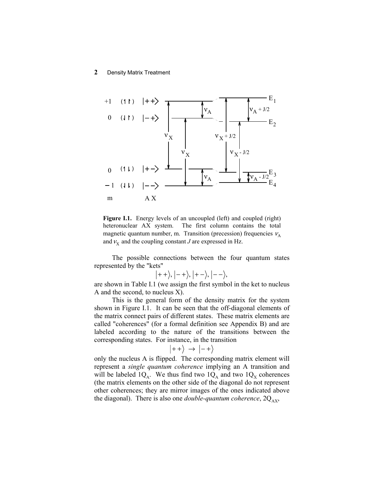## **2** Density Matrix Treatment



Figure I.1. Energy levels of an uncoupled (left) and coupled (right) heteronuclear AX system. The first column contains the total magnetic quantum number, m. Transition (precession) frequencies  $v_A$ and  $v_x$  and the coupling constant *J* are expressed in Hz.

The possible connections between the four quantum states represented by the "kets"

$$
\big|++\big>,\big|-+\big>,\big|+-\big>,\big|--\big>,
$$

are shown in Table I.1 (we assign the first symbol in the ket to nucleus A and the second, to nucleus X).

This is the general form of the density matrix for the system shown in Figure I.1. It can be seen that the off-diagonal elements of the matrix connect pairs of different states. These matrix elements are called "coherences" (for a formal definition see Appendix B) and are labeled according to the nature of the transitions between the corresponding states. For instance, in the transition

$$
|++\rangle \rightarrow |-+\rangle
$$

only the nucleus A is flipped. The corresponding matrix element will represent a *single quantum coherence* implying an A transition and will be labeled  $1Q_A$ . We thus find two  $1Q_A$  and two  $1Q_X$  coherences (the matrix elements on the other side of the diagonal do not represent other coherences; they are mirror images of the ones indicated above the diagonal). There is also one *double-quantum coherence*,  $2Q_{AX}$ ,